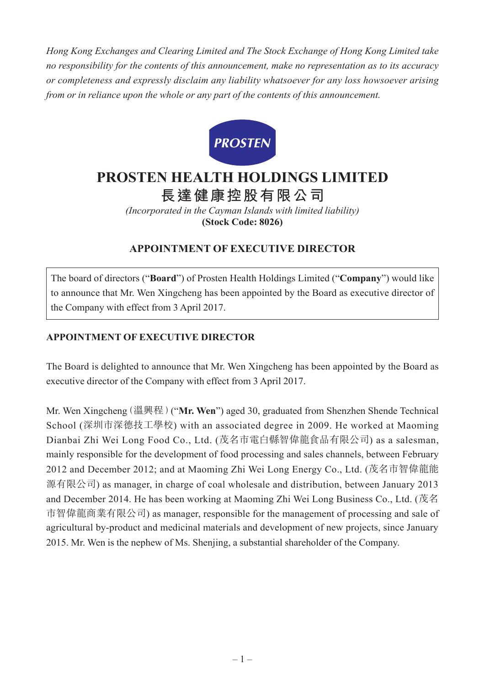*Hong Kong Exchanges and Clearing Limited and The Stock Exchange of Hong Kong Limited take no responsibility for the contents of this announcement, make no representation as to its accuracy or completeness and expressly disclaim any liability whatsoever for any loss howsoever arising from or in reliance upon the whole or any part of the contents of this announcement.*



## **PROSTEN HEALTH HOLDINGS LIMITED 長達健康控股有限公司**

*(Incorporated in the Cayman Islands with limited liability)* **(Stock Code: 8026)**

## **APPOINTMENT OF EXECUTIVE DIRECTOR**

The board of directors ("**Board**") of Prosten Health Holdings Limited ("**Company**") would like to announce that Mr. Wen Xingcheng has been appointed by the Board as executive director of the Company with effect from 3 April 2017.

## **APPOINTMENT OF EXECUTIVE DIRECTOR**

The Board is delighted to announce that Mr. Wen Xingcheng has been appointed by the Board as executive director of the Company with effect from 3 April 2017.

Mr. Wen Xingcheng(溫興程)("**Mr. Wen**") aged 30, graduated from Shenzhen Shende Technical School (深圳市深德技工學校) with an associated degree in 2009. He worked at Maoming Dianbai Zhi Wei Long Food Co., Ltd. (茂名市電白縣智偉龍食品有限公司) as a salesman, mainly responsible for the development of food processing and sales channels, between February 2012 and December 2012; and at Maoming Zhi Wei Long Energy Co., Ltd. (茂名市智偉龍能 源有限公司) as manager, in charge of coal wholesale and distribution, between January 2013 and December 2014. He has been working at Maoming Zhi Wei Long Business Co., Ltd. (茂名 市智偉龍商業有限公司) as manager, responsible for the management of processing and sale of agricultural by-product and medicinal materials and development of new projects, since January 2015. Mr. Wen is the nephew of Ms. Shenjing, a substantial shareholder of the Company.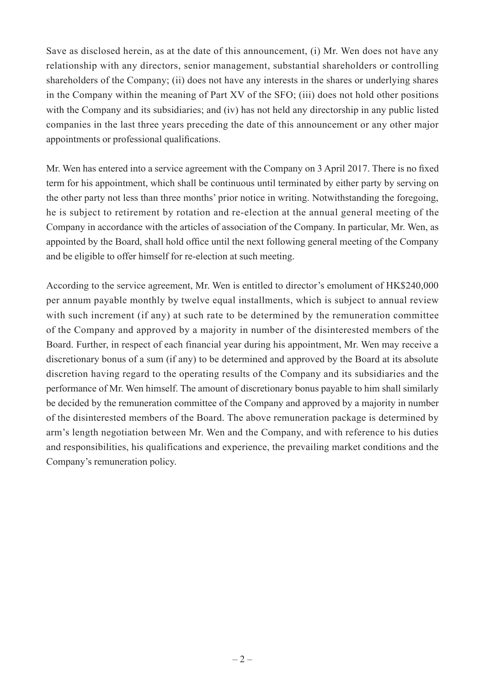Save as disclosed herein, as at the date of this announcement, (i) Mr. Wen does not have any relationship with any directors, senior management, substantial shareholders or controlling shareholders of the Company; (ii) does not have any interests in the shares or underlying shares in the Company within the meaning of Part XV of the SFO; (iii) does not hold other positions with the Company and its subsidiaries; and (iv) has not held any directorship in any public listed companies in the last three years preceding the date of this announcement or any other major appointments or professional qualifications.

Mr. Wen has entered into a service agreement with the Company on 3 April 2017. There is no fixed term for his appointment, which shall be continuous until terminated by either party by serving on the other party not less than three months' prior notice in writing. Notwithstanding the foregoing, he is subject to retirement by rotation and re-election at the annual general meeting of the Company in accordance with the articles of association of the Company. In particular, Mr. Wen, as appointed by the Board, shall hold office until the next following general meeting of the Company and be eligible to offer himself for re-election at such meeting.

According to the service agreement, Mr. Wen is entitled to director's emolument of HK\$240,000 per annum payable monthly by twelve equal installments, which is subject to annual review with such increment (if any) at such rate to be determined by the remuneration committee of the Company and approved by a majority in number of the disinterested members of the Board. Further, in respect of each financial year during his appointment, Mr. Wen may receive a discretionary bonus of a sum (if any) to be determined and approved by the Board at its absolute discretion having regard to the operating results of the Company and its subsidiaries and the performance of Mr. Wen himself. The amount of discretionary bonus payable to him shall similarly be decided by the remuneration committee of the Company and approved by a majority in number of the disinterested members of the Board. The above remuneration package is determined by arm's length negotiation between Mr. Wen and the Company, and with reference to his duties and responsibilities, his qualifications and experience, the prevailing market conditions and the Company's remuneration policy.